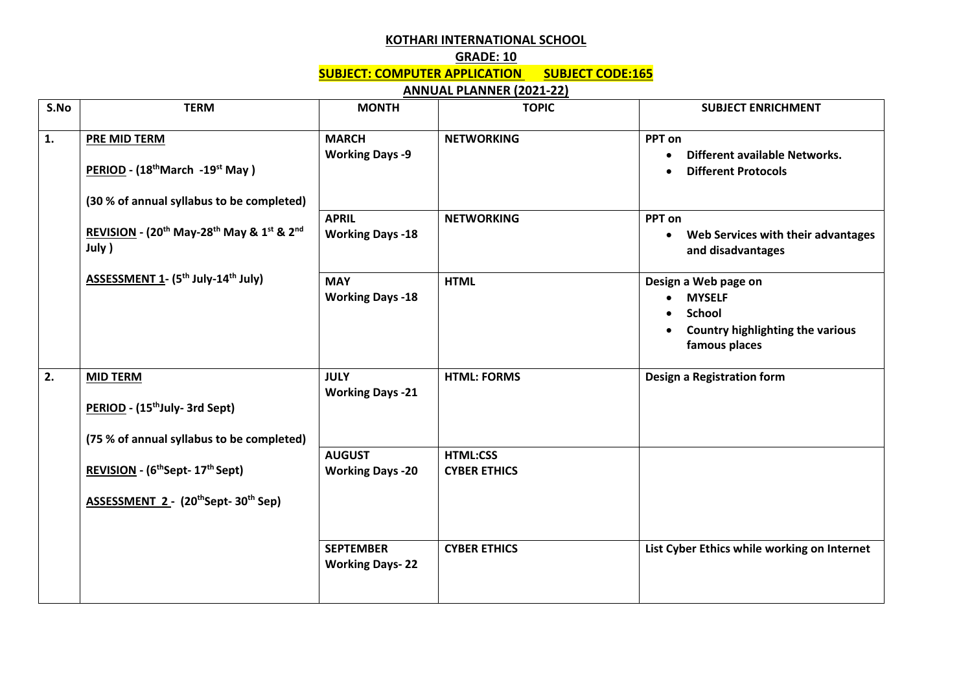## **KOTHARI INTERNATIONAL SCHOOL**

## **GRADE: 10**

**SUBJECT: COMPUTER APPLICATION SUBJECT CODE:165**

## **ANNUAL PLANNER (2021-22)**

| S.No | <b>TERM</b>                                                                                                                                                                                                                                      | <b>MONTH</b>                               | <b>TOPIC</b>                           | <b>SUBJECT ENRICHMENT</b>                                                                                          |
|------|--------------------------------------------------------------------------------------------------------------------------------------------------------------------------------------------------------------------------------------------------|--------------------------------------------|----------------------------------------|--------------------------------------------------------------------------------------------------------------------|
| 1.   | PRE MID TERM<br>PERIOD - (18 <sup>th</sup> March -19 <sup>st</sup> May)<br>(30 % of annual syllabus to be completed)<br>REVISION - (20 <sup>th</sup> May-28 <sup>th</sup> May & 1st & 2nd<br>July )<br><b>ASSESSMENT 1- (5th July-14th July)</b> | <b>MARCH</b><br><b>Working Days -9</b>     | <b>NETWORKING</b>                      | PPT on<br>Different available Networks.<br><b>Different Protocols</b>                                              |
|      |                                                                                                                                                                                                                                                  | <b>APRIL</b><br><b>Working Days -18</b>    | <b>NETWORKING</b>                      | PPT on<br>Web Services with their advantages<br>and disadvantages                                                  |
|      |                                                                                                                                                                                                                                                  | <b>MAY</b><br><b>Working Days -18</b>      | <b>HTML</b>                            | Design a Web page on<br><b>MYSELF</b><br><b>School</b><br><b>Country highlighting the various</b><br>famous places |
| 2.   | <b>MID TERM</b><br>PERIOD - (15 <sup>th</sup> July- 3rd Sept)<br>(75 % of annual syllabus to be completed)                                                                                                                                       | <b>JULY</b><br><b>Working Days -21</b>     | <b>HTML: FORMS</b>                     | Design a Registration form                                                                                         |
|      | REVISION - (6 <sup>th</sup> Sept- 17 <sup>th</sup> Sept)<br>ASSESSMENT 2 - (20thSept-30th Sep)                                                                                                                                                   | <b>AUGUST</b><br><b>Working Days -20</b>   | <b>HTML:CSS</b><br><b>CYBER ETHICS</b> |                                                                                                                    |
|      |                                                                                                                                                                                                                                                  | <b>SEPTEMBER</b><br><b>Working Days-22</b> | <b>CYBER ETHICS</b>                    | List Cyber Ethics while working on Internet                                                                        |